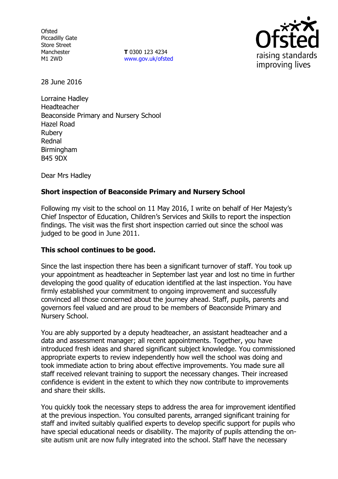**Ofsted** Piccadilly Gate Store Street Manchester M1 2WD

**T** 0300 123 4234 www.gov.uk/ofsted



28 June 2016

Lorraine Hadley Headteacher Beaconside Primary and Nursery School Hazel Road Rubery Rednal Birmingham B45 9DX

Dear Mrs Hadley

# **Short inspection of Beaconside Primary and Nursery School**

Following my visit to the school on 11 May 2016, I write on behalf of Her Majesty's Chief Inspector of Education, Children's Services and Skills to report the inspection findings. The visit was the first short inspection carried out since the school was judged to be good in June 2011.

### **This school continues to be good.**

Since the last inspection there has been a significant turnover of staff. You took up your appointment as headteacher in September last year and lost no time in further developing the good quality of education identified at the last inspection. You have firmly established your commitment to ongoing improvement and successfully convinced all those concerned about the journey ahead. Staff, pupils, parents and governors feel valued and are proud to be members of Beaconside Primary and Nursery School.

You are ably supported by a deputy headteacher, an assistant headteacher and a data and assessment manager; all recent appointments. Together, you have introduced fresh ideas and shared significant subject knowledge. You commissioned appropriate experts to review independently how well the school was doing and took immediate action to bring about effective improvements. You made sure all staff received relevant training to support the necessary changes. Their increased confidence is evident in the extent to which they now contribute to improvements and share their skills.

You quickly took the necessary steps to address the area for improvement identified at the previous inspection. You consulted parents, arranged significant training for staff and invited suitably qualified experts to develop specific support for pupils who have special educational needs or disability. The majority of pupils attending the onsite autism unit are now fully integrated into the school. Staff have the necessary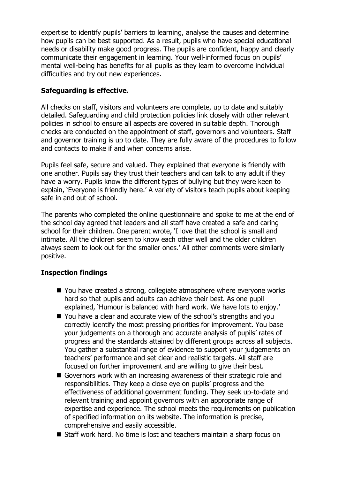expertise to identify pupils' barriers to learning, analyse the causes and determine how pupils can be best supported. As a result, pupils who have special educational needs or disability make good progress. The pupils are confident, happy and clearly communicate their engagement in learning. Your well-informed focus on pupils' mental well-being has benefits for all pupils as they learn to overcome individual difficulties and try out new experiences.

### **Safeguarding is effective.**

All checks on staff, visitors and volunteers are complete, up to date and suitably detailed. Safeguarding and child protection policies link closely with other relevant policies in school to ensure all aspects are covered in suitable depth. Thorough checks are conducted on the appointment of staff, governors and volunteers. Staff and governor training is up to date. They are fully aware of the procedures to follow and contacts to make if and when concerns arise.

Pupils feel safe, secure and valued. They explained that everyone is friendly with one another. Pupils say they trust their teachers and can talk to any adult if they have a worry. Pupils know the different types of bullying but they were keen to explain, 'Everyone is friendly here.' A variety of visitors teach pupils about keeping safe in and out of school.

The parents who completed the online questionnaire and spoke to me at the end of the school day agreed that leaders and all staff have created a safe and caring school for their children. One parent wrote, 'I love that the school is small and intimate. All the children seem to know each other well and the older children always seem to look out for the smaller ones.' All other comments were similarly positive.

# **Inspection findings**

- You have created a strong, collegiate atmosphere where everyone works hard so that pupils and adults can achieve their best. As one pupil explained, 'Humour is balanced with hard work. We have lots to enjoy.'
- You have a clear and accurate view of the school's strengths and you correctly identify the most pressing priorities for improvement. You base your judgements on a thorough and accurate analysis of pupils' rates of progress and the standards attained by different groups across all subjects. You gather a substantial range of evidence to support your judgements on teachers' performance and set clear and realistic targets. All staff are focused on further improvement and are willing to give their best.
- Governors work with an increasing awareness of their strategic role and responsibilities. They keep a close eye on pupils' progress and the effectiveness of additional government funding. They seek up-to-date and relevant training and appoint governors with an appropriate range of expertise and experience. The school meets the requirements on publication of specified information on its website. The information is precise, comprehensive and easily accessible.
- Staff work hard. No time is lost and teachers maintain a sharp focus on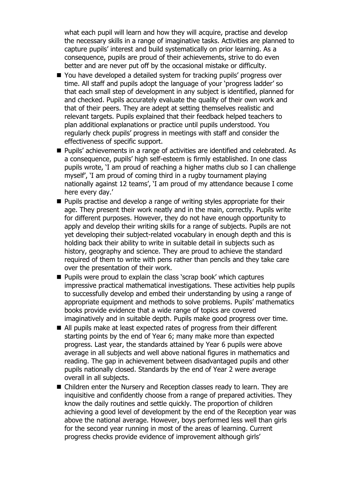what each pupil will learn and how they will acquire, practise and develop the necessary skills in a range of imaginative tasks. Activities are planned to capture pupils' interest and build systematically on prior learning. As a consequence, pupils are proud of their achievements, strive to do even better and are never put off by the occasional mistake or difficulty.

- You have developed a detailed system for tracking pupils' progress over time. All staff and pupils adopt the language of your 'progress ladder' so that each small step of development in any subject is identified, planned for and checked. Pupils accurately evaluate the quality of their own work and that of their peers. They are adept at setting themselves realistic and relevant targets. Pupils explained that their feedback helped teachers to plan additional explanations or practice until pupils understood. You regularly check pupils' progress in meetings with staff and consider the effectiveness of specific support.
- Pupils' achievements in a range of activities are identified and celebrated. As a consequence, pupils' high self-esteem is firmly established. In one class pupils wrote, 'I am proud of reaching a higher maths club so I can challenge myself', 'I am proud of coming third in a rugby tournament playing nationally against 12 teams', 'I am proud of my attendance because I come here every day.'
- **Pupils practise and develop a range of writing styles appropriate for their** age. They present their work neatly and in the main, correctly. Pupils write for different purposes. However, they do not have enough opportunity to apply and develop their writing skills for a range of subjects. Pupils are not yet developing their subject-related vocabulary in enough depth and this is holding back their ability to write in suitable detail in subjects such as history, geography and science. They are proud to achieve the standard required of them to write with pens rather than pencils and they take care over the presentation of their work.
- **Pupils were proud to explain the class 'scrap book' which captures** impressive practical mathematical investigations. These activities help pupils to successfully develop and embed their understanding by using a range of appropriate equipment and methods to solve problems. Pupils' mathematics books provide evidence that a wide range of topics are covered imaginatively and in suitable depth. Pupils make good progress over time.
- All pupils make at least expected rates of progress from their different starting points by the end of Year 6; many make more than expected progress. Last year, the standards attained by Year 6 pupils were above average in all subjects and well above national figures in mathematics and reading. The gap in achievement between disadvantaged pupils and other pupils nationally closed. Standards by the end of Year 2 were average overall in all subjects.
- Children enter the Nursery and Reception classes ready to learn. They are inquisitive and confidently choose from a range of prepared activities. They know the daily routines and settle quickly. The proportion of children achieving a good level of development by the end of the Reception year was above the national average. However, boys performed less well than girls for the second year running in most of the areas of learning. Current progress checks provide evidence of improvement although girls'